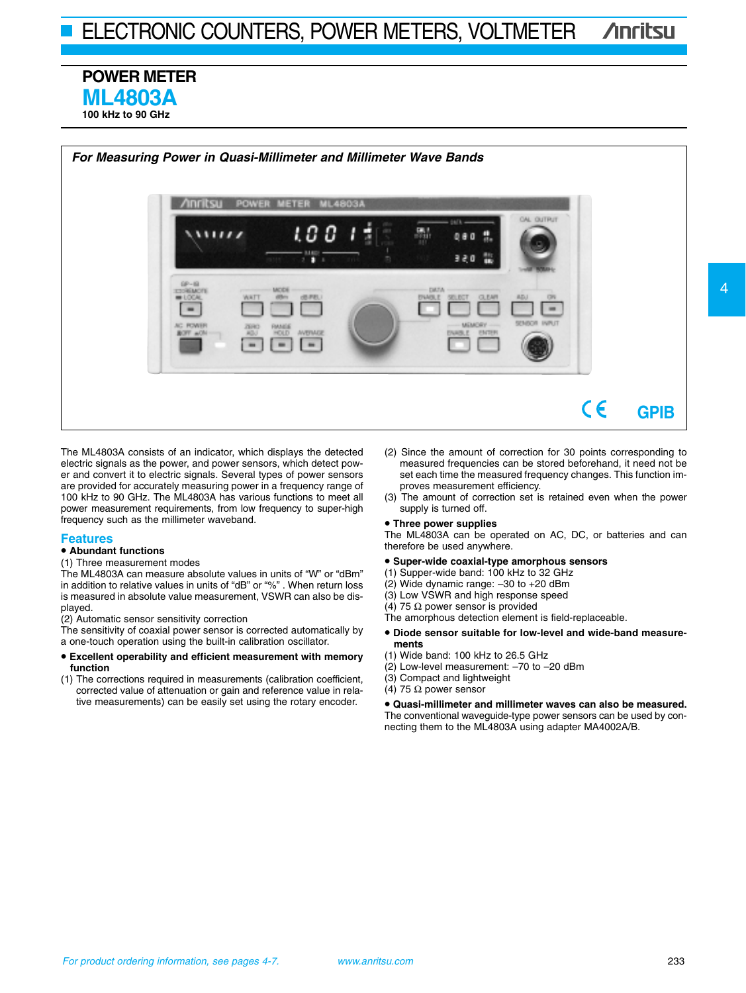## **POWER METER ML4803A 100 kHz to 90 GHz**



The ML4803A consists of an indicator, which displays the detected electric signals as the power, and power sensors, which detect power and convert it to electric signals. Several types of power sensors are provided for accurately measuring power in a frequency range of 100 kHz to 90 GHz. The ML4803A has various functions to meet all power measurement requirements, from low frequency to super-high frequency such as the millimeter waveband.

#### **Features**

### • **Abundant functions**

#### (1) Three measurement modes

The ML4803A can measure absolute values in units of "W" or "dBm" in addition to relative values in units of "dB" or "%" . When return loss is measured in absolute value measurement, VSWR can also be displayed.

(2) Automatic sensor sensitivity correction

The sensitivity of coaxial power sensor is corrected automatically by a one-touch operation using the built-in calibration oscillator.

- **Excellent operability and efficient measurement with memory function**
- (1) The corrections required in measurements (calibration coefficient, corrected value of attenuation or gain and reference value in relative measurements) can be easily set using the rotary encoder.
- (2) Since the amount of correction for 30 points corresponding to measured frequencies can be stored beforehand, it need not be set each time the measured frequency changes. This function improves measurement efficiency.
- (3) The amount of correction set is retained even when the power supply is turned off.

## • **Three power supplies**

The ML4803A can be operated on AC, DC, or batteries and can therefore be used anywhere.

## • **Super-wide coaxial-type amorphous sensors**

- (1) Supper-wide band: 100 kHz to 32 GHz
- (2) Wide dynamic range: –30 to +20 dBm
- (3) Low VSWR and high response speed
- (4) 75  $\Omega$  power sensor is provided
- The amorphous detection element is field-replaceable.
- **Diode sensor suitable for low-level and wide-band measurements**
- (1) Wide band: 100 kHz to 26.5 GHz
- (2) Low-level measurement: –70 to –20 dBm
- (3) Compact and lightweight
- (4) 75  $\Omega$  power sensor

• **Quasi-millimeter and millimeter waves can also be measured.** The conventional waveguide-type power sensors can be used by connecting them to the ML4803A using adapter MA4002A/B.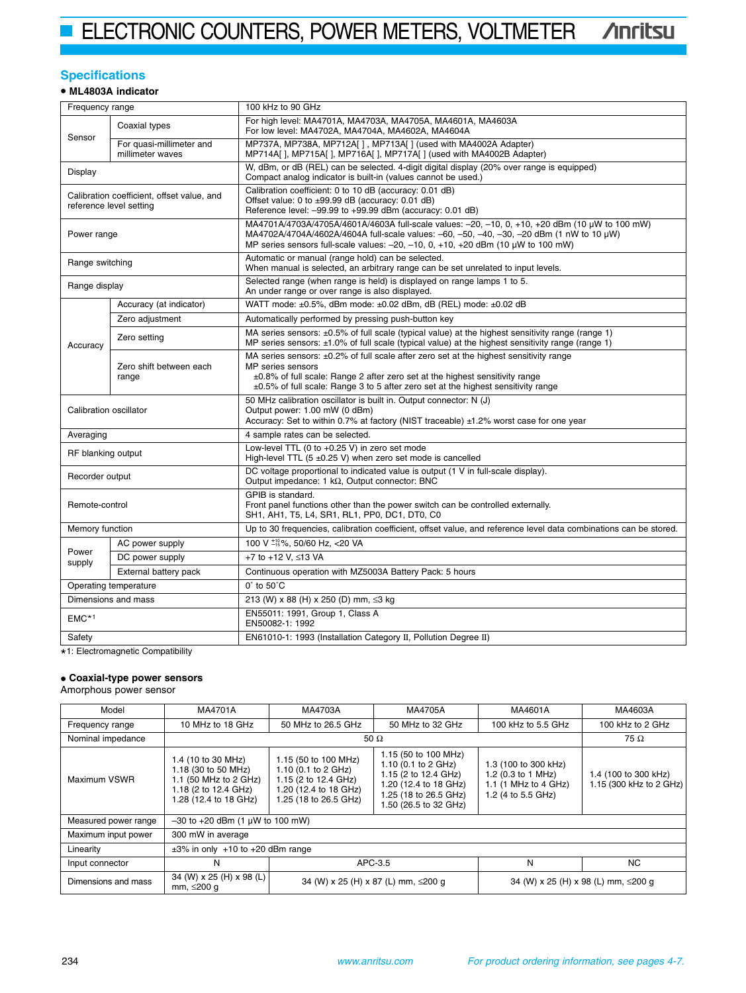## **Specifications**

## • **ML4803A indicator**

| Frequency range                                                              |                                              | 100 kHz to 90 GHz                                                                                                                                                                                                                                                                         |  |  |
|------------------------------------------------------------------------------|----------------------------------------------|-------------------------------------------------------------------------------------------------------------------------------------------------------------------------------------------------------------------------------------------------------------------------------------------|--|--|
| Coaxial types<br>For low level: MA4702A, MA4704A, MA4602A, MA4604A<br>Sensor |                                              | For high level: MA4701A, MA4703A, MA4705A, MA4601A, MA4603A                                                                                                                                                                                                                               |  |  |
|                                                                              | For quasi-millimeter and<br>millimeter waves | MP737A, MP738A, MP712A[], MP713A[] (used with MA4002A Adapter)<br>MP714A[], MP715A[], MP716A[], MP717A[] (used with MA4002B Adapter)                                                                                                                                                      |  |  |
| Display                                                                      |                                              | W, dBm, or dB (REL) can be selected. 4-digit digital display (20% over range is equipped)<br>Compact analog indicator is built-in (values cannot be used.)                                                                                                                                |  |  |
| Calibration coefficient, offset value, and<br>reference level setting        |                                              | Calibration coefficient: 0 to 10 dB (accuracy: 0.01 dB)<br>Offset value: 0 to ±99.99 dB (accuracy: 0.01 dB)<br>Reference level: -99.99 to +99.99 dBm (accuracy: 0.01 dB)                                                                                                                  |  |  |
| Power range                                                                  |                                              | MA4701A/4703A/4705A/4601A/4603A full-scale values: -20, -10, 0, +10, +20 dBm (10 µW to 100 mW)<br>MA4702A/4704A/4602A/4604A full-scale values: -60, -50, -40, -30, -20 dBm (1 nW to 10 μW)<br>MP series sensors full-scale values: $-20$ , $-10$ , 0, $+10$ , $+20$ dBm (10 µW to 100 mW) |  |  |
| Range switching                                                              |                                              | Automatic or manual (range hold) can be selected.<br>When manual is selected, an arbitrary range can be set unrelated to input levels.                                                                                                                                                    |  |  |
| Range display                                                                |                                              | Selected range (when range is held) is displayed on range lamps 1 to 5.<br>An under range or over range is also displayed.                                                                                                                                                                |  |  |
|                                                                              | Accuracy (at indicator)                      | WATT mode: ±0.5%, dBm mode: ±0.02 dBm, dB (REL) mode: ±0.02 dB                                                                                                                                                                                                                            |  |  |
|                                                                              | Zero adjustment                              | Automatically performed by pressing push-button key                                                                                                                                                                                                                                       |  |  |
| Accuracy                                                                     | Zero setting                                 | MA series sensors: ±0.5% of full scale (typical value) at the highest sensitivity range (range 1)<br>MP series sensors: $\pm 1.0\%$ of full scale (typical value) at the highest sensitivity range (range 1)                                                                              |  |  |
|                                                                              | Zero shift between each<br>range             | MA series sensors: ±0.2% of full scale after zero set at the highest sensitivity range<br>MP series sensors<br>±0.8% of full scale: Range 2 after zero set at the highest sensitivity range<br>$\pm 0.5$ % of full scale: Range 3 to 5 after zero set at the highest sensitivity range    |  |  |
| Calibration oscillator                                                       |                                              | 50 MHz calibration oscillator is built in. Output connector: N (J)<br>Output power: 1.00 mW (0 dBm)<br>Accuracy: Set to within 0.7% at factory (NIST traceable) ±1.2% worst case for one year                                                                                             |  |  |
| Averaging                                                                    |                                              | 4 sample rates can be selected.                                                                                                                                                                                                                                                           |  |  |
| RF blanking output                                                           |                                              | Low-level TTL (0 to +0.25 V) in zero set mode<br>High-level TTL $(5 \pm 0.25 \text{ V})$ when zero set mode is cancelled                                                                                                                                                                  |  |  |
| Recorder output                                                              |                                              | DC voltage proportional to indicated value is output (1 V in full-scale display).<br>Output impedance: 1 $k\Omega$ , Output connector: BNC                                                                                                                                                |  |  |
| Remote-control                                                               |                                              | GPIB is standard.<br>Front panel functions other than the power switch can be controlled externally.<br>SH1, AH1, T5, L4, SR1, RL1, PP0, DC1, DT0, C0                                                                                                                                     |  |  |
| Memory function                                                              |                                              | Up to 30 frequencies, calibration coefficient, offset value, and reference level data combinations can be stored.                                                                                                                                                                         |  |  |
|                                                                              | AC power supply                              | 100 V +10%, 50/60 Hz, <20 VA                                                                                                                                                                                                                                                              |  |  |
| Power<br>supply                                                              | DC power supply                              | +7 to +12 V, ≤13 VA                                                                                                                                                                                                                                                                       |  |  |
|                                                                              | External battery pack                        | Continuous operation with MZ5003A Battery Pack: 5 hours                                                                                                                                                                                                                                   |  |  |
| Operating temperature                                                        |                                              | $0^{\circ}$ to $50^{\circ}$ C                                                                                                                                                                                                                                                             |  |  |
| Dimensions and mass                                                          |                                              | 213 (W) x 88 (H) x 250 (D) mm, ≤3 kg                                                                                                                                                                                                                                                      |  |  |
| $EMC*1$                                                                      |                                              | EN55011: 1991, Group 1, Class A<br>EN50082-1: 1992                                                                                                                                                                                                                                        |  |  |
| Safety                                                                       |                                              | EN61010-1: 1993 (Installation Category II, Pollution Degree II)                                                                                                                                                                                                                           |  |  |

\* 1: Electromagnetic Compatibility

# • **Coaxial-type power sensors** Amorphous power sensor

| Model                                    | MA4701A                                                                                                             | MA4703A                                                                                                               | MA4705A                                                                                                                                        | MA4601A                                                                                  | MA4603A                                         |
|------------------------------------------|---------------------------------------------------------------------------------------------------------------------|-----------------------------------------------------------------------------------------------------------------------|------------------------------------------------------------------------------------------------------------------------------------------------|------------------------------------------------------------------------------------------|-------------------------------------------------|
| Frequency range                          | 10 MHz to 18 GHz                                                                                                    | 50 MHz to 26.5 GHz                                                                                                    | 50 MHz to 32 GHz                                                                                                                               | 100 kHz to 5.5 GHz                                                                       | 100 kHz to 2 GHz                                |
| Nominal impedance                        | 50 $\Omega$                                                                                                         |                                                                                                                       |                                                                                                                                                | 75 Ω                                                                                     |                                                 |
| Maximum VSWR                             | 1.4 (10 to 30 MHz)<br>1.18 (30 to 50 MHz)<br>1.1 (50 MHz to 2 GHz)<br>1.18 (2 to 12.4 GHz)<br>1.28 (12.4 to 18 GHz) | 1.15 (50 to 100 MHz)<br>1.10 (0.1 to 2 GHz)<br>1.15 (2 to 12.4 GHz)<br>1.20 (12.4 to 18 GHz)<br>1.25 (18 to 26.5 GHz) | 1.15 (50 to 100 MHz)<br>1.10 (0.1 to 2 GHz)<br>1.15 (2 to 12.4 GHz)<br>1.20 (12.4 to 18 GHz)<br>1.25 (18 to 26.5 GHz)<br>1.50 (26.5 to 32 GHz) | 1.3 (100 to 300 kHz)<br>1.2 (0.3 to 1 MHz)<br>1.1 (1 MHz to 4 GHz)<br>1.2 (4 to 5.5 GHz) | 1.4 (100 to 300 kHz)<br>1.15 (300 kHz to 2 GHz) |
| Measured power range                     | $-30$ to $+20$ dBm (1 $\mu$ W to 100 mW)                                                                            |                                                                                                                       |                                                                                                                                                |                                                                                          |                                                 |
| Maximum input power<br>300 mW in average |                                                                                                                     |                                                                                                                       |                                                                                                                                                |                                                                                          |                                                 |
| Linearity                                | $\pm 3\%$ in only $+10$ to $+20$ dBm range                                                                          |                                                                                                                       |                                                                                                                                                |                                                                                          |                                                 |
| Input connector                          | N                                                                                                                   |                                                                                                                       | APC-3.5                                                                                                                                        | N                                                                                        | NC.                                             |
| Dimensions and mass                      | 34 (W) x 25 (H) x 98 (L)<br>mm, ≤200 g                                                                              | 34 (W) x 25 (H) x 87 (L) mm, ≤200 q                                                                                   |                                                                                                                                                |                                                                                          | 34 (W) x 25 (H) x 98 (L) mm, ≤200 g             |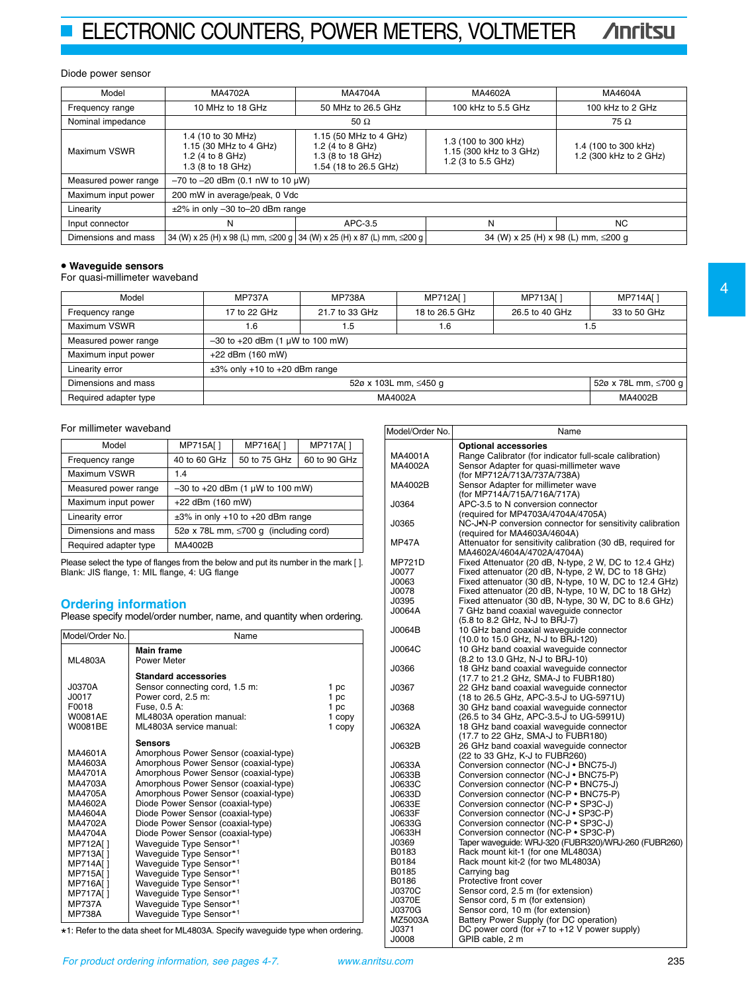## Diode power sensor

| Model                | MA4702A                                                                               | MA4704A                                                                                  | MA4602A                                                               | MA4604A                                        |
|----------------------|---------------------------------------------------------------------------------------|------------------------------------------------------------------------------------------|-----------------------------------------------------------------------|------------------------------------------------|
| Frequency range      | 10 MHz to 18 GHz                                                                      | 50 MHz to 26.5 GHz                                                                       | 100 kHz to 5.5 GHz                                                    | 100 kHz to 2 GHz                               |
| Nominal impedance    | 50 $\Omega$                                                                           |                                                                                          |                                                                       | 75 $\Omega$                                    |
| Maximum VSWR         | 1.4 (10 to 30 MHz)<br>1.15 (30 MHz to 4 GHz)<br>1.2 (4 to 8 GHz)<br>1.3 (8 to 18 GHz) | 1.15 (50 MHz to 4 GHz)<br>1.2 (4 to 8 GHz)<br>1.3 (8 to 18 GHz)<br>1.54 (18 to 26.5 GHz) | 1.3 (100 to 300 kHz)<br>1.15 (300 kHz to 3 GHz)<br>1.2 (3 to 5.5 GHz) | 1.4 (100 to 300 kHz)<br>1.2 (300 kHz to 2 GHz) |
| Measured power range | $-70$ to $-20$ dBm (0.1 nW to 10 $\mu$ W)                                             |                                                                                          |                                                                       |                                                |
| Maximum input power  | 200 mW in average/peak, 0 Vdc                                                         |                                                                                          |                                                                       |                                                |
| Linearity            | $\pm$ 2% in only -30 to-20 dBm range                                                  |                                                                                          |                                                                       |                                                |
| Input connector      | N                                                                                     | APC-3.5                                                                                  | N                                                                     | NC.                                            |
| Dimensions and mass  |                                                                                       | 34 (W) x 25 (H) x 98 (L) mm, ≤200 g 34 (W) x 25 (H) x 87 (L) mm, ≤200 g                  |                                                                       | 34 (W) x 25 (H) x 98 (L) mm, ≤200 g            |

## • **Waveguide sensors**

For quasi-millimeter waveband

| Model                 | <b>MP737A</b>                                 | <b>MP738A</b>  | MP712A[]       | MP713A[]       | MP714A[]     |
|-----------------------|-----------------------------------------------|----------------|----------------|----------------|--------------|
| Frequency range       | 17 to 22 GHz                                  | 21.7 to 33 GHz | 18 to 26.5 GHz | 26.5 to 40 GHz | 33 to 50 GHz |
| Maximum VSWR          | 1.6                                           | 1.5            | 1.6            |                | 1.5          |
| Measured power range  | $-30$ to $+20$ dBm (1 $\mu$ W to 100 mW)      |                |                |                |              |
| Maximum input power   | +22 dBm (160 mW)                              |                |                |                |              |
| Linearity error       | $\pm 3\%$ only +10 to +20 dBm range           |                |                |                |              |
| Dimensions and mass   | 52ø x 78L mm, ≤700 g<br>52ø x 103L mm, ≤450 g |                |                |                |              |
| Required adapter type | MA4002B<br>MA4002A                            |                |                |                |              |

## For millimeter waveband

| Model                 | MP715A[]                                    | MP716A[]     | MP717A[]     |
|-----------------------|---------------------------------------------|--------------|--------------|
| Frequency range       | 40 to 60 GHz                                | 50 to 75 GHz | 60 to 90 GHz |
| Maximum VSWR          | 1.4                                         |              |              |
| Measured power range  | $-30$ to $+20$ dBm (1 $\mu$ W to 100 mW)    |              |              |
| Maximum input power   | $+22$ dBm (160 mW)                          |              |              |
| Linearity error       | $\pm 3\%$ in only +10 to +20 dBm range      |              |              |
| Dimensions and mass   | 52ø x 78L mm, $\leq$ 700 g (including cord) |              |              |
| Required adapter type | MA4002B                                     |              |              |

Please select the type of flanges from the below and put its number in the mark [ ]. Blank: JIS flange, 1: MIL flange, 4: UG flange

**Ordering information** Please specify model/order number, name, and quantity when ordering.

| Model/Order No.                                                                                                                                                                                                         | Name                                                                                                                                                                                                                                                                                                                                                                                                                                                                                                                                                                                                    |                                          |
|-------------------------------------------------------------------------------------------------------------------------------------------------------------------------------------------------------------------------|---------------------------------------------------------------------------------------------------------------------------------------------------------------------------------------------------------------------------------------------------------------------------------------------------------------------------------------------------------------------------------------------------------------------------------------------------------------------------------------------------------------------------------------------------------------------------------------------------------|------------------------------------------|
| ML4803A                                                                                                                                                                                                                 | <b>Main frame</b><br>Power Meter                                                                                                                                                                                                                                                                                                                                                                                                                                                                                                                                                                        |                                          |
| J0370A<br>J0017<br>F0018<br>W0081AE<br>W0081BE                                                                                                                                                                          | <b>Standard accessories</b><br>Sensor connecting cord, 1.5 m:<br>Power cord, 2.5 m:<br>Fuse, 0.5 A:<br>ML4803A operation manual:<br>ML4803A service manual:                                                                                                                                                                                                                                                                                                                                                                                                                                             | 1 pc<br>1 pc<br>1 pc<br>1 copy<br>1 copy |
| MA4601A<br>MA4603A<br>MA4701A<br>MA4703A<br>MA4705A<br>MA4602A<br>MA4604A<br>MA4702A<br>MA4704A<br>MP712A[]<br>MP713A[]<br><b>MP714A[]</b><br>MP715A[]<br>MP716A[]<br><b>MP717A[]</b><br><b>MP737A</b><br><b>MP738A</b> | <b>Sensors</b><br>Amorphous Power Sensor (coaxial-type)<br>Amorphous Power Sensor (coaxial-type)<br>Amorphous Power Sensor (coaxial-type)<br>Amorphous Power Sensor (coaxial-type)<br>Amorphous Power Sensor (coaxial-type)<br>Diode Power Sensor (coaxial-type)<br>Diode Power Sensor (coaxial-type)<br>Diode Power Sensor (coaxial-type)<br>Diode Power Sensor (coaxial-type)<br>Wavequide Type Sensor*1<br>Waveguide Type Sensor*1<br>Waveguide Type Sensor*1<br>Waveguide Type Sensor*1<br>Waveguide Type Sensor*1<br>Waveguide Type Sensor*1<br>Waveguide Type Sensor*1<br>Waveguide Type Sensor*1 |                                          |

\* 1: Refer to the data sheet for ML4803A. Specify waveguide type when ordering.

| Model/Order No. | Name                                                        |
|-----------------|-------------------------------------------------------------|
|                 | <b>Optional accessories</b>                                 |
| MA4001A         | Range Calibrator (for indicator full-scale calibration)     |
| MA4002A         | Sensor Adapter for quasi-millimeter wave                    |
|                 | (for MP712A/713A/737A/738A)                                 |
| MA4002B         | Sensor Adapter for millimeter wave                          |
|                 | (for MP714A/715A/716A/717A)                                 |
| <b>J0364</b>    | APC-3.5 to N conversion connector                           |
|                 | (required for MP4703A/4704A/4705A)                          |
| J0365           | NC-J.N-P conversion connector for sensitivity calibration   |
|                 |                                                             |
|                 | (required for MA4603A/4604A)                                |
| <b>MP47A</b>    | Attenuator for sensitivity calibration (30 dB, required for |
|                 | MA4602A/4604A/4702A/4704A)                                  |
| <b>MP721D</b>   | Fixed Attenuator (20 dB, N-type, 2 W, DC to 12.4 GHz)       |
| J0077           | Fixed attenuator (20 dB, N-type, 2 W, DC to 18 GHz)         |
| J0063           | Fixed attenuator (30 dB, N-type, 10 W, DC to 12.4 GHz)      |
| J0078           | Fixed attenuator (20 dB, N-type, 10 W, DC to 18 GHz)        |
| J0395           | Fixed attenuator (30 dB, N-type, 30 W, DC to 8.6 GHz)       |
| J0064A          | 7 GHz band coaxial wavequide connector                      |
|                 | (5.8 to 8.2 GHz, N-J to BRJ-7)                              |
| J0064B          | 10 GHz band coaxial waveguide connector                     |
|                 | (10.0 to 15.0 GHz, N-J to BRJ-120)                          |
| J0064C          | 10 GHz band coaxial wavequide connector                     |
|                 | (8.2 to 13.0 GHz, N-J to BRJ-10)                            |
| <b>J0366</b>    | 18 GHz band coaxial wavequide connector                     |
|                 | (17.7 to 21.2 GHz, SMA-J to FUBR180)                        |
| J0367           | 22 GHz band coaxial wavequide connector                     |
|                 | (18 to 26.5 GHz, APC-3.5-J to UG-5971U)                     |
| J0368           | 30 GHz band coaxial waveguide connector                     |
|                 | (26.5 to 34 GHz, APC-3.5-J to UG-5991U)                     |
| J0632A          | 18 GHz band coaxial wavequide connector                     |
|                 | (17.7 to 22 GHz, SMA-J to FUBR180)                          |
| J0632B          | 26 GHz band coaxial wavequide connector                     |
|                 | (22 to 33 GHz, K-J to FUBR260)                              |
| J0633A          | Conversion connector (NC-J · BNC75-J)                       |
|                 | Conversion connector (NC-J · BNC75-P)                       |
| J0633B          |                                                             |
| J0633C          | Conversion connector (NC-P · BNC75-J)                       |
| J0633D          | Conversion connector (NC-P · BNC75-P)                       |
| J0633E          | Conversion connector (NC-P • SP3C-J)                        |
| J0633F          | Conversion connector (NC-J • SP3C-P)                        |
| J0633G          | Conversion connector (NC-P · SP3C-J)                        |
| J0633H          | Conversion connector (NC-P • SP3C-P)                        |
| J0369           | Taper waveguide: WRJ-320 (FUBR320)/WRJ-260 (FUBR260)        |
| B0183           | Rack mount kit-1 (for one ML4803A)                          |
| B0184           | Rack mount kit-2 (for two ML4803A)                          |
| B0185           | Carrying bag                                                |
| B0186           | Protective front cover                                      |
| <b>J0370C</b>   | Sensor cord, 2.5 m (for extension)                          |
| J0370E          | Sensor cord, 5 m (for extension)                            |
| J0370G          | Sensor cord, 10 m (for extension)                           |
| MZ5003A         | Battery Power Supply (for DC operation)                     |
| J0371           | DC power cord (for $+7$ to $+12$ V power supply)            |
| J0008           | GPIB cable, 2 m                                             |